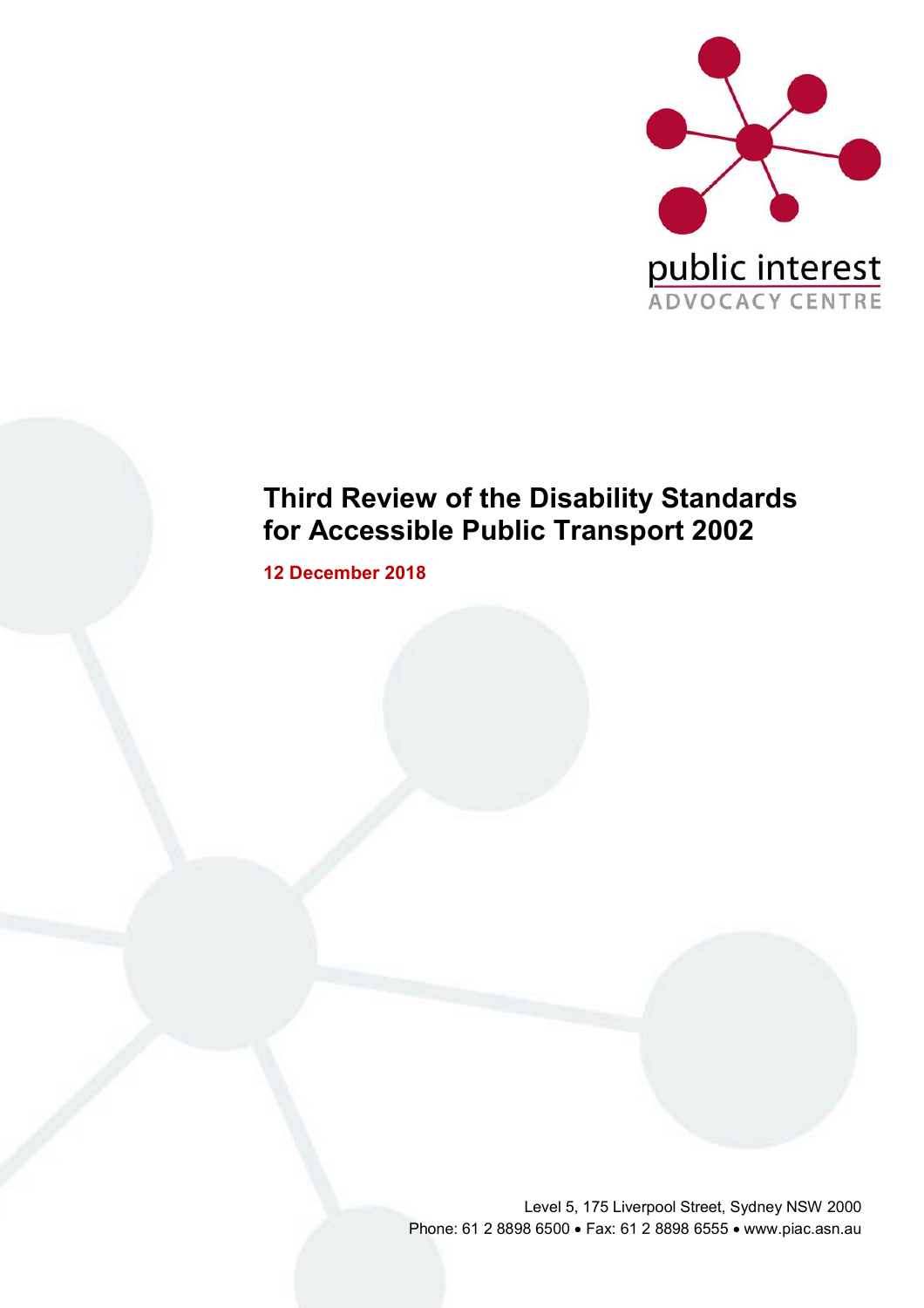

# **Third Review of the Disability Standards for Accessible Public Transport 2002**

**12 December 2018**

Level 5, 175 Liverpool Street, Sydney NSW 2000 Phone: 61 2 8898 6500 • Fax: 61 2 8898 6555 • www.piac.asn.au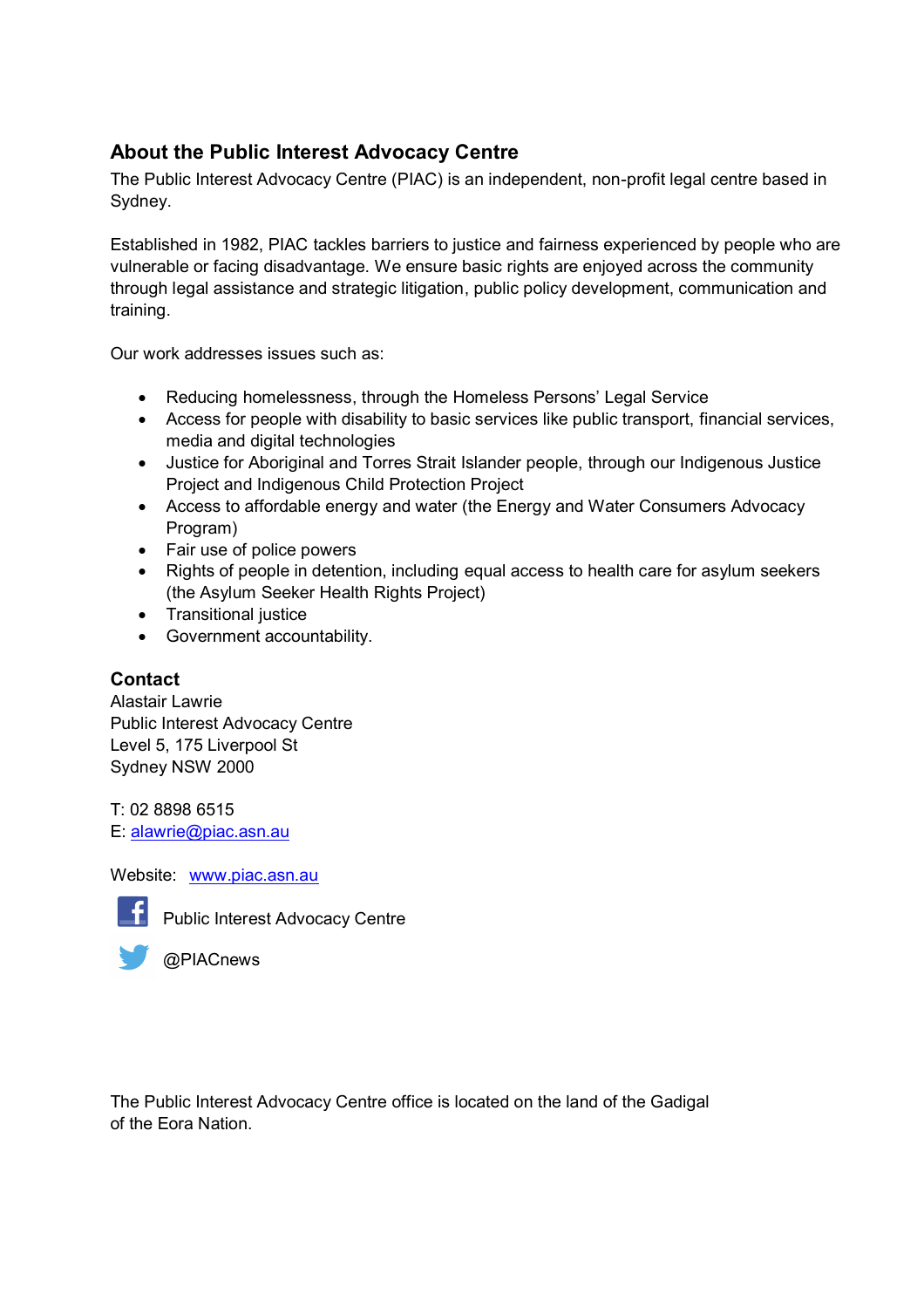# **About the Public Interest Advocacy Centre**

The Public Interest Advocacy Centre (PIAC) is an independent, non-profit legal centre based in Sydney.

Established in 1982, PIAC tackles barriers to justice and fairness experienced by people who are vulnerable or facing disadvantage. We ensure basic rights are enjoyed across the community through legal assistance and strategic litigation, public policy development, communication and training.

Our work addresses issues such as:

- Reducing homelessness, through the Homeless Persons' Legal Service
- Access for people with disability to basic services like public transport, financial services, media and digital technologies
- Justice for Aboriginal and Torres Strait Islander people, through our Indigenous Justice Project and Indigenous Child Protection Project
- Access to affordable energy and water (the Energy and Water Consumers Advocacy Program)
- Fair use of police powers
- Rights of people in detention, including equal access to health care for asylum seekers (the Asylum Seeker Health Rights Project)
- Transitional justice
- Government accountability.

# **Contact**

Alastair Lawrie Public Interest Advocacy Centre Level 5, 175 Liverpool St Sydney NSW 2000

T: 02 8898 6515 E: [alawrie@piac.asn.au](mailto:alawrie@piac.asn.au)

Website: [www.piac.asn.au](http://www.piac.asn.au/)



Public Interest Advocacy Centre



@PIACnews

The Public Interest Advocacy Centre office is located on the land of the Gadigal of the Eora Nation.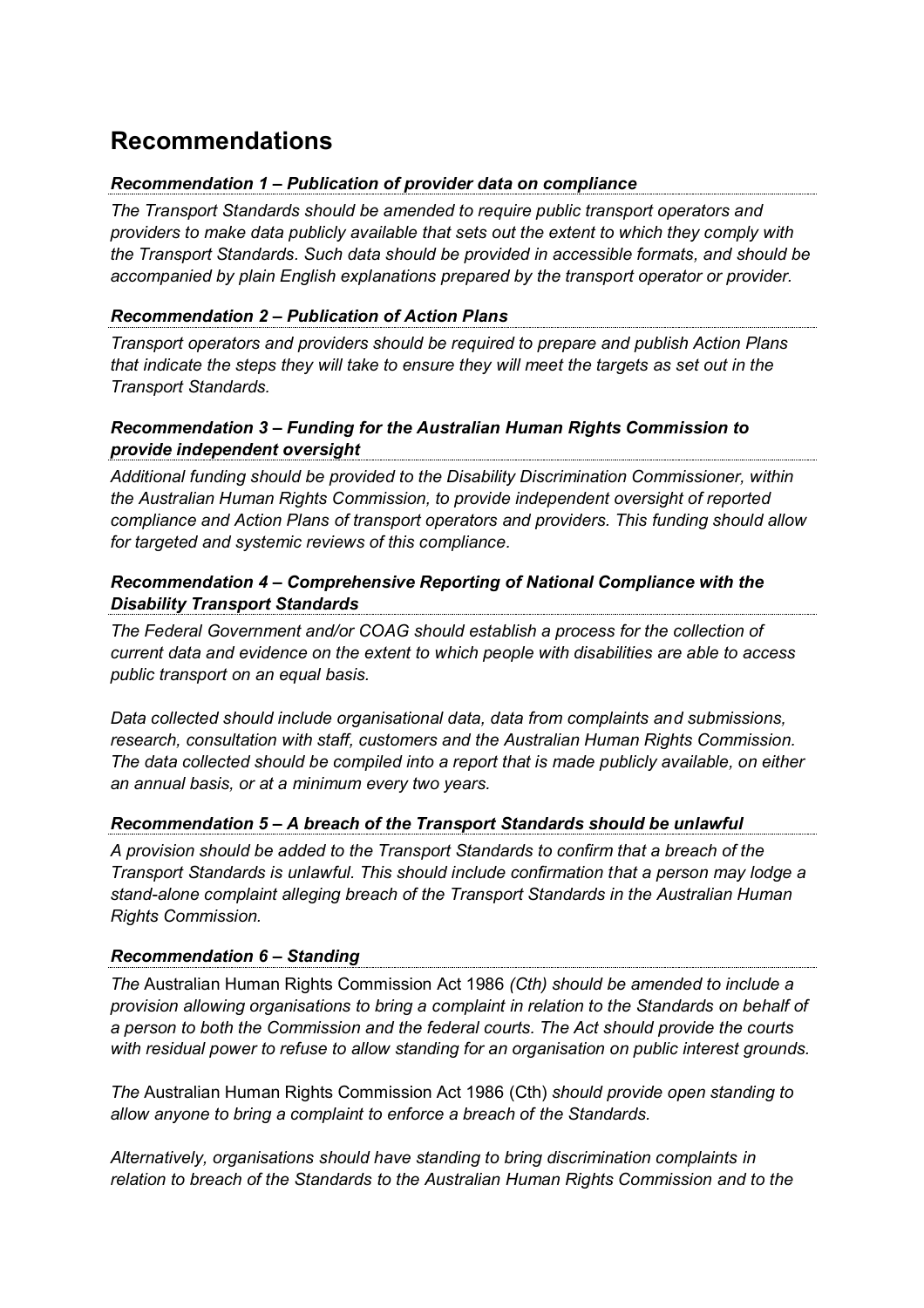# **Recommendations**

### *Recommendation 1 – Publication of provider data on compliance*

*The Transport Standards should be amended to require public transport operators and providers to make data publicly available that sets out the extent to which they comply with the Transport Standards. Such data should be provided in accessible formats, and should be accompanied by plain English explanations prepared by the transport operator or provider.*

### *Recommendation 2 – Publication of Action Plans*

*Transport operators and providers should be required to prepare and publish Action Plans that indicate the steps they will take to ensure they will meet the targets as set out in the Transport Standards.*

### *Recommendation 3 – Funding for the Australian Human Rights Commission to provide independent oversight*

*Additional funding should be provided to the Disability Discrimination Commissioner, within the Australian Human Rights Commission, to provide independent oversight of reported compliance and Action Plans of transport operators and providers. This funding should allow for targeted and systemic reviews of this compliance.*

### *Recommendation 4 – Comprehensive Reporting of National Compliance with the Disability Transport Standards*

*The Federal Government and/or COAG should establish a process for the collection of current data and evidence on the extent to which people with disabilities are able to access public transport on an equal basis.*

*Data collected should include organisational data, data from complaints and submissions, research, consultation with staff, customers and the Australian Human Rights Commission. The data collected should be compiled into a report that is made publicly available, on either an annual basis, or at a minimum every two years.*

#### *Recommendation 5 – A breach of the Transport Standards should be unlawful*

*A provision should be added to the Transport Standards to confirm that a breach of the Transport Standards is unlawful. This should include confirmation that a person may lodge a stand-alone complaint alleging breach of the Transport Standards in the Australian Human Rights Commission.*

#### *Recommendation 6 – Standing*

*The* Australian Human Rights Commission Act 1986 *(Cth) should be amended to include a provision allowing organisations to bring a complaint in relation to the Standards on behalf of a person to both the Commission and the federal courts. The Act should provide the courts with residual power to refuse to allow standing for an organisation on public interest grounds.*

*The* Australian Human Rights Commission Act 1986 (Cth) *should provide open standing to allow anyone to bring a complaint to enforce a breach of the Standards.*

*Alternatively, organisations should have standing to bring discrimination complaints in relation to breach of the Standards to the Australian Human Rights Commission and to the*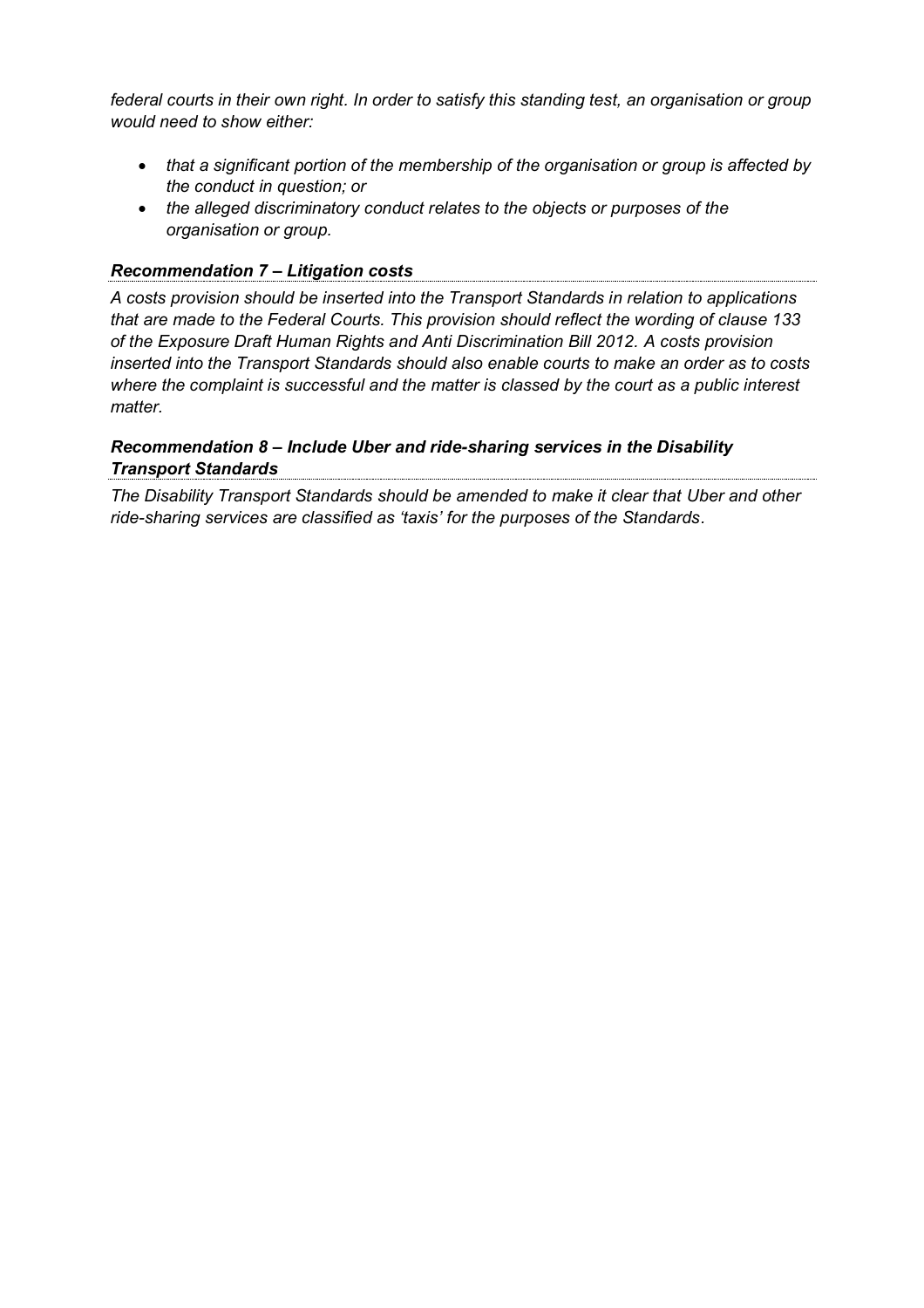*federal courts in their own right. In order to satisfy this standing test, an organisation or group would need to show either:*

- *that a significant portion of the membership of the organisation or group is affected by the conduct in question; or*
- *the alleged discriminatory conduct relates to the objects or purposes of the organisation or group.*

#### *Recommendation 7 – Litigation costs*

*A costs provision should be inserted into the Transport Standards in relation to applications that are made to the Federal Courts. This provision should reflect the wording of clause 133 of the Exposure Draft Human Rights and Anti Discrimination Bill 2012. A costs provision inserted into the Transport Standards should also enable courts to make an order as to costs where the complaint is successful and the matter is classed by the court as a public interest matter.* 

### *Recommendation 8 – Include Uber and ride-sharing services in the Disability Transport Standards*

*The Disability Transport Standards should be amended to make it clear that Uber and other ride-sharing services are classified as 'taxis' for the purposes of the Standards.*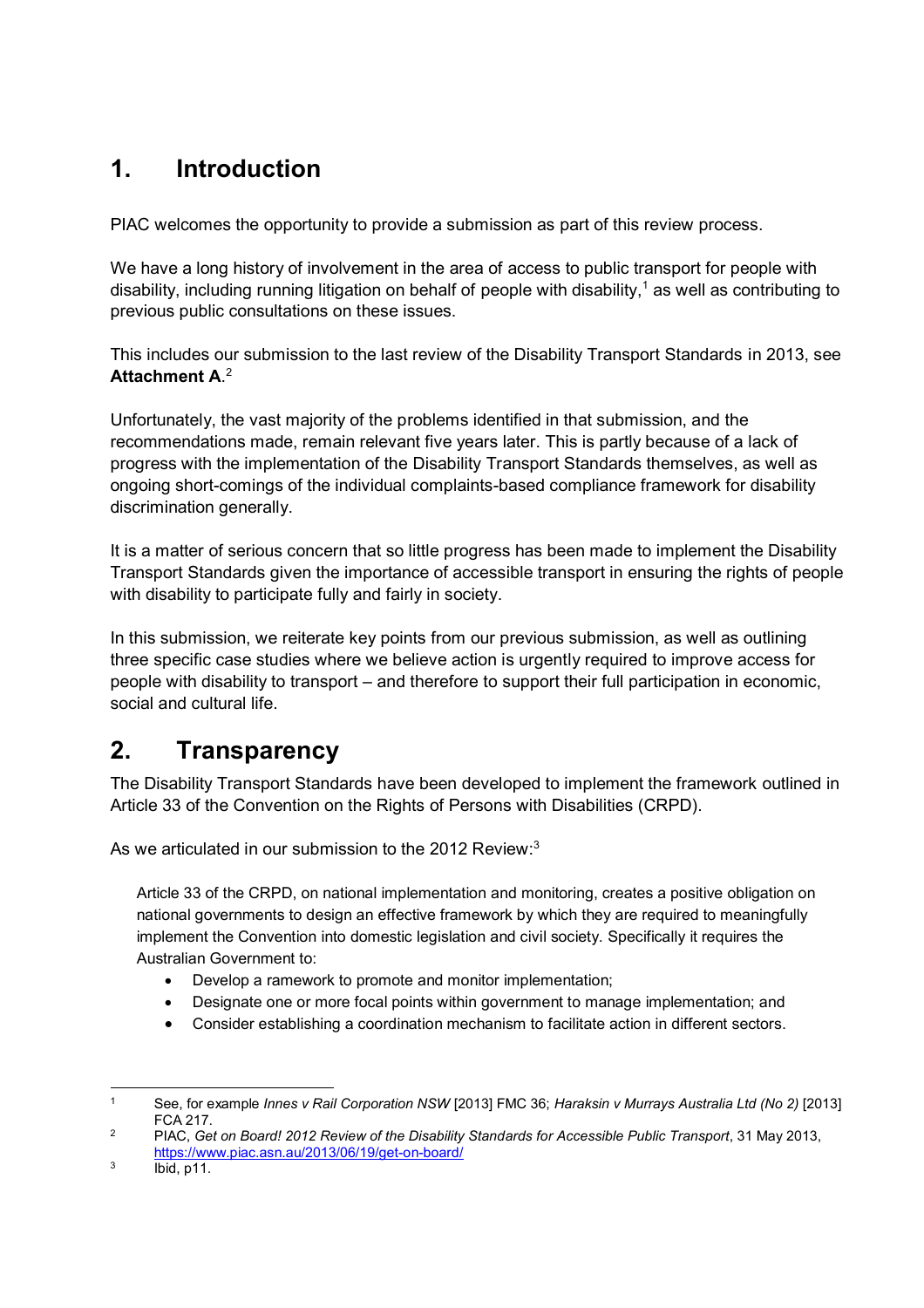# **1. Introduction**

PIAC welcomes the opportunity to provide a submission as part of this review process.

We have a long history of involvement in the area of access to public transport for people with disability, including running litigation on behalf of people with disability, <sup>1</sup> as well as contributing to previous public consultations on these issues.

This includes our submission to the last review of the Disability Transport Standards in 2013, see **Attachment A**. 2

Unfortunately, the vast majority of the problems identified in that submission, and the recommendations made, remain relevant five years later. This is partly because of a lack of progress with the implementation of the Disability Transport Standards themselves, as well as ongoing short-comings of the individual complaints-based compliance framework for disability discrimination generally.

It is a matter of serious concern that so little progress has been made to implement the Disability Transport Standards given the importance of accessible transport in ensuring the rights of people with disability to participate fully and fairly in society.

In this submission, we reiterate key points from our previous submission, as well as outlining three specific case studies where we believe action is urgently required to improve access for people with disability to transport – and therefore to support their full participation in economic, social and cultural life.

# **2. Transparency**

The Disability Transport Standards have been developed to implement the framework outlined in Article 33 of the Convention on the Rights of Persons with Disabilities (CRPD).

As we articulated in our submission to the 2012 Review:<sup>3</sup>

Article 33 of the CRPD, on national implementation and monitoring, creates a positive obligation on national governments to design an effective framework by which they are required to meaningfully implement the Convention into domestic legislation and civil society. Specifically it requires the Australian Government to:

- Develop a ramework to promote and monitor implementation;
- Designate one or more focal points within government to manage implementation; and
- Consider establishing a coordination mechanism to facilitate action in different sectors.

 <sup>1</sup> See, for example *Innes v Rail Corporation NSW* [2013] FMC 36; *Haraksin v Murrays Australia Ltd (No 2)* [2013] FCA 217.

<sup>2</sup> PIAC, *Get on Board! 2012 Review of the Disability Standards for Accessible Public Transport*, 31 May 2013, <https://www.piac.asn.au/2013/06/19/get-on-board/>

 $3$  Ibid, p11.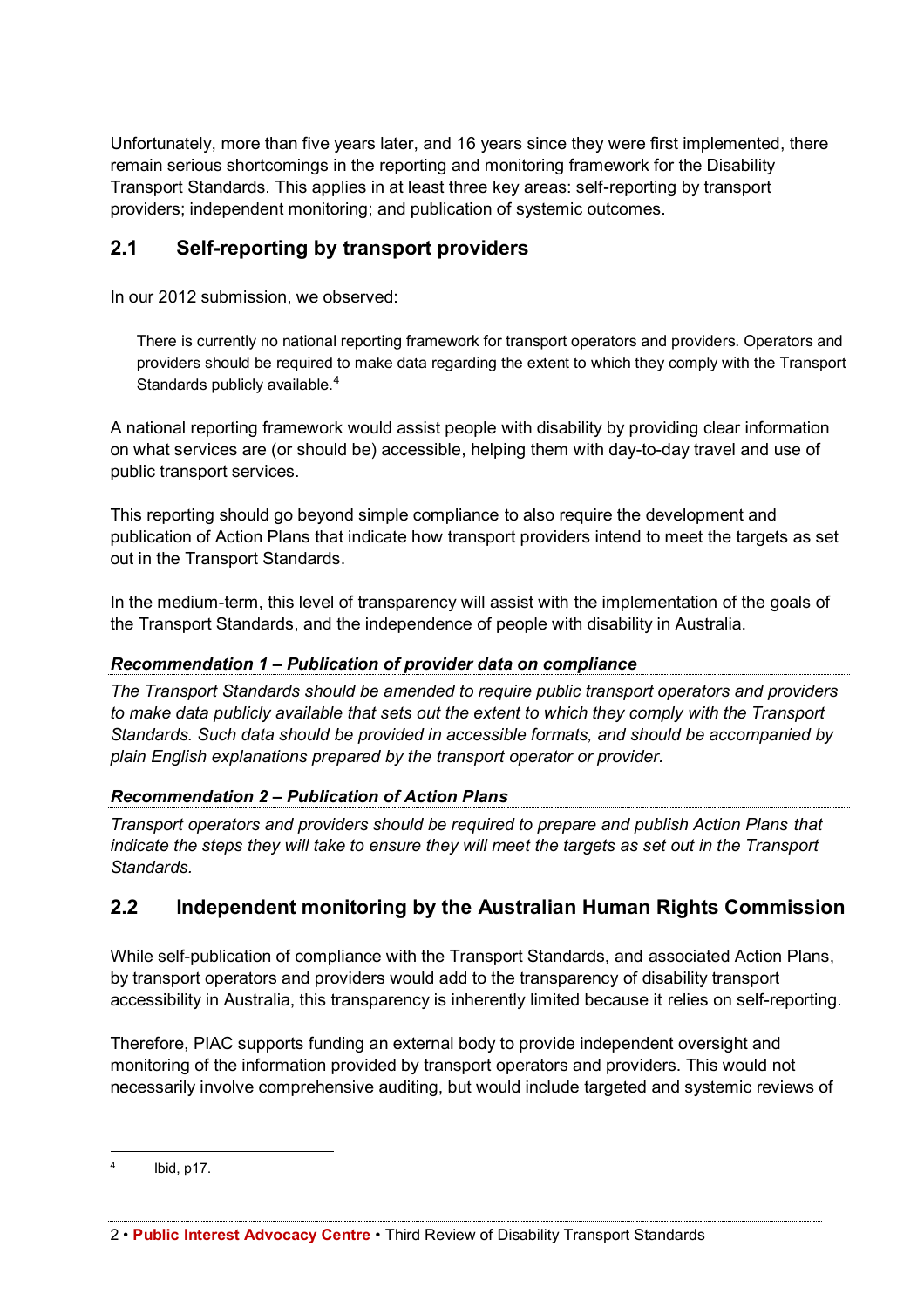Unfortunately, more than five years later, and 16 years since they were first implemented, there remain serious shortcomings in the reporting and monitoring framework for the Disability Transport Standards. This applies in at least three key areas: self-reporting by transport providers; independent monitoring; and publication of systemic outcomes.

# **2.1 Self-reporting by transport providers**

In our 2012 submission, we observed:

There is currently no national reporting framework for transport operators and providers. Operators and providers should be required to make data regarding the extent to which they comply with the Transport Standards publicly available.<sup>4</sup>

A national reporting framework would assist people with disability by providing clear information on what services are (or should be) accessible, helping them with day-to-day travel and use of public transport services.

This reporting should go beyond simple compliance to also require the development and publication of Action Plans that indicate how transport providers intend to meet the targets as set out in the Transport Standards.

In the medium-term, this level of transparency will assist with the implementation of the goals of the Transport Standards, and the independence of people with disability in Australia.

## *Recommendation 1 – Publication of provider data on compliance*

*The Transport Standards should be amended to require public transport operators and providers*  to make data publicly available that sets out the extent to which they comply with the Transport *Standards. Such data should be provided in accessible formats, and should be accompanied by plain English explanations prepared by the transport operator or provider.*

### *Recommendation 2 – Publication of Action Plans*

*Transport operators and providers should be required to prepare and publish Action Plans that indicate the steps they will take to ensure they will meet the targets as set out in the Transport Standards.*

# **2.2 Independent monitoring by the Australian Human Rights Commission**

While self-publication of compliance with the Transport Standards, and associated Action Plans, by transport operators and providers would add to the transparency of disability transport accessibility in Australia, this transparency is inherently limited because it relies on self-reporting.

Therefore, PIAC supports funding an external body to provide independent oversight and monitoring of the information provided by transport operators and providers. This would not necessarily involve comprehensive auditing, but would include targeted and systemic reviews of

 <sup>4</sup> Ibid, p17.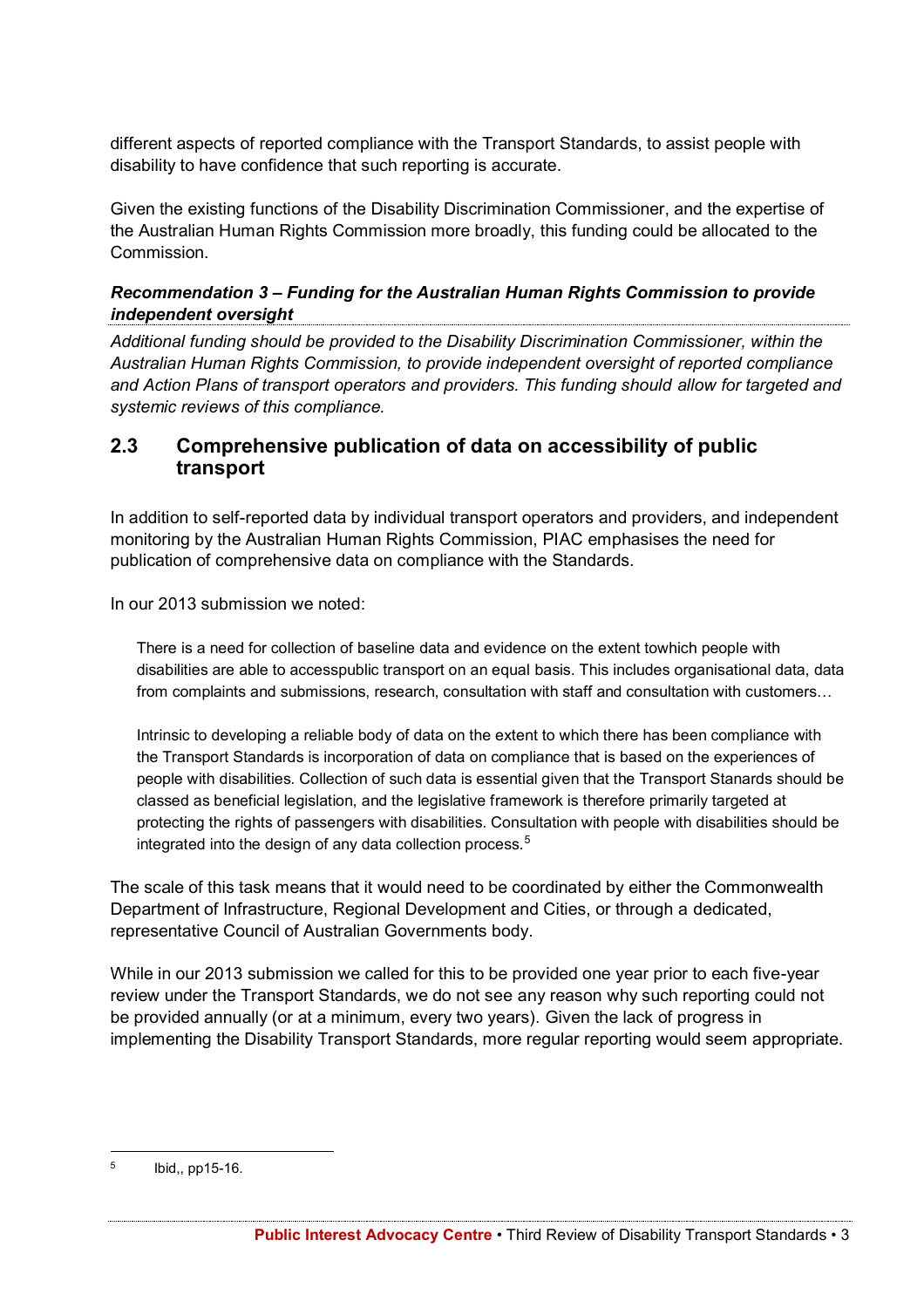different aspects of reported compliance with the Transport Standards, to assist people with disability to have confidence that such reporting is accurate.

Given the existing functions of the Disability Discrimination Commissioner, and the expertise of the Australian Human Rights Commission more broadly, this funding could be allocated to the Commission.

### *Recommendation 3 – Funding for the Australian Human Rights Commission to provide independent oversight*

*Additional funding should be provided to the Disability Discrimination Commissioner, within the Australian Human Rights Commission, to provide independent oversight of reported compliance and Action Plans of transport operators and providers. This funding should allow for targeted and systemic reviews of this compliance.*

# **2.3 Comprehensive publication of data on accessibility of public transport**

In addition to self-reported data by individual transport operators and providers, and independent monitoring by the Australian Human Rights Commission, PIAC emphasises the need for publication of comprehensive data on compliance with the Standards.

In our 2013 submission we noted:

There is a need for collection of baseline data and evidence on the extent towhich people with disabilities are able to accesspublic transport on an equal basis. This includes organisational data, data from complaints and submissions, research, consultation with staff and consultation with customers…

Intrinsic to developing a reliable body of data on the extent to which there has been compliance with the Transport Standards is incorporation of data on compliance that is based on the experiences of people with disabilities. Collection of such data is essential given that the Transport Stanards should be classed as beneficial legislation, and the legislative framework is therefore primarily targeted at protecting the rights of passengers with disabilities. Consultation with people with disabilities should be integrated into the design of any data collection process.<sup>5</sup>

The scale of this task means that it would need to be coordinated by either the Commonwealth Department of Infrastructure, Regional Development and Cities, or through a dedicated, representative Council of Australian Governments body.

While in our 2013 submission we called for this to be provided one year prior to each five-year review under the Transport Standards, we do not see any reason why such reporting could not be provided annually (or at a minimum, every two years). Given the lack of progress in implementing the Disability Transport Standards, more regular reporting would seem appropriate.

 <sup>5</sup> Ibid,, pp15-16.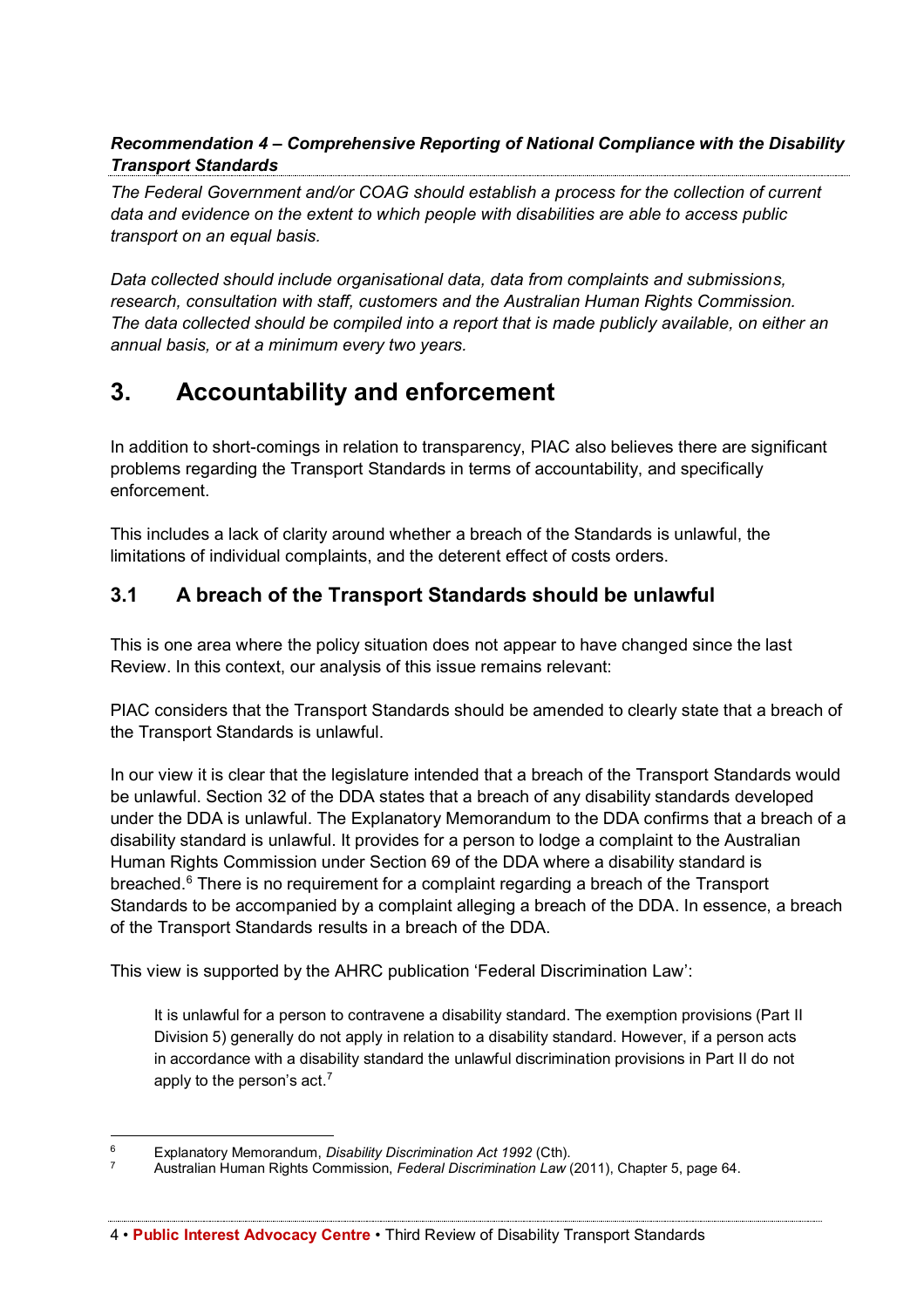## *Recommendation 4 – Comprehensive Reporting of National Compliance with the Disability Transport Standards*

*The Federal Government and/or COAG should establish a process for the collection of current data and evidence on the extent to which people with disabilities are able to access public transport on an equal basis.*

*Data collected should include organisational data, data from complaints and submissions, research, consultation with staff, customers and the Australian Human Rights Commission. The data collected should be compiled into a report that is made publicly available, on either an annual basis, or at a minimum every two years.*

# **3. Accountability and enforcement**

In addition to short-comings in relation to transparency, PIAC also believes there are significant problems regarding the Transport Standards in terms of accountability, and specifically enforcement.

This includes a lack of clarity around whether a breach of the Standards is unlawful, the limitations of individual complaints, and the deterent effect of costs orders.

# **3.1 A breach of the Transport Standards should be unlawful**

This is one area where the policy situation does not appear to have changed since the last Review. In this context, our analysis of this issue remains relevant:

PIAC considers that the Transport Standards should be amended to clearly state that a breach of the Transport Standards is unlawful.

In our view it is clear that the legislature intended that a breach of the Transport Standards would be unlawful. Section 32 of the DDA states that a breach of any disability standards developed under the DDA is unlawful. The Explanatory Memorandum to the DDA confirms that a breach of a disability standard is unlawful. It provides for a person to lodge a complaint to the Australian Human Rights Commission under Section 69 of the DDA where a disability standard is breached.6 There is no requirement for a complaint regarding a breach of the Transport Standards to be accompanied by a complaint alleging a breach of the DDA. In essence, a breach of the Transport Standards results in a breach of the DDA.

This view is supported by the AHRC publication 'Federal Discrimination Law':

It is unlawful for a person to contravene a disability standard. The exemption provisions (Part II Division 5) generally do not apply in relation to a disability standard. However, if a person acts in accordance with a disability standard the unlawful discrimination provisions in Part II do not apply to the person's act.<sup>7</sup>

 <sup>6</sup> Explanatory Memorandum, *Disability Discrimination Act 1992* (Cth).

<sup>7</sup> Australian Human Rights Commission, *Federal Discrimination Law* (2011), Chapter 5, page 64.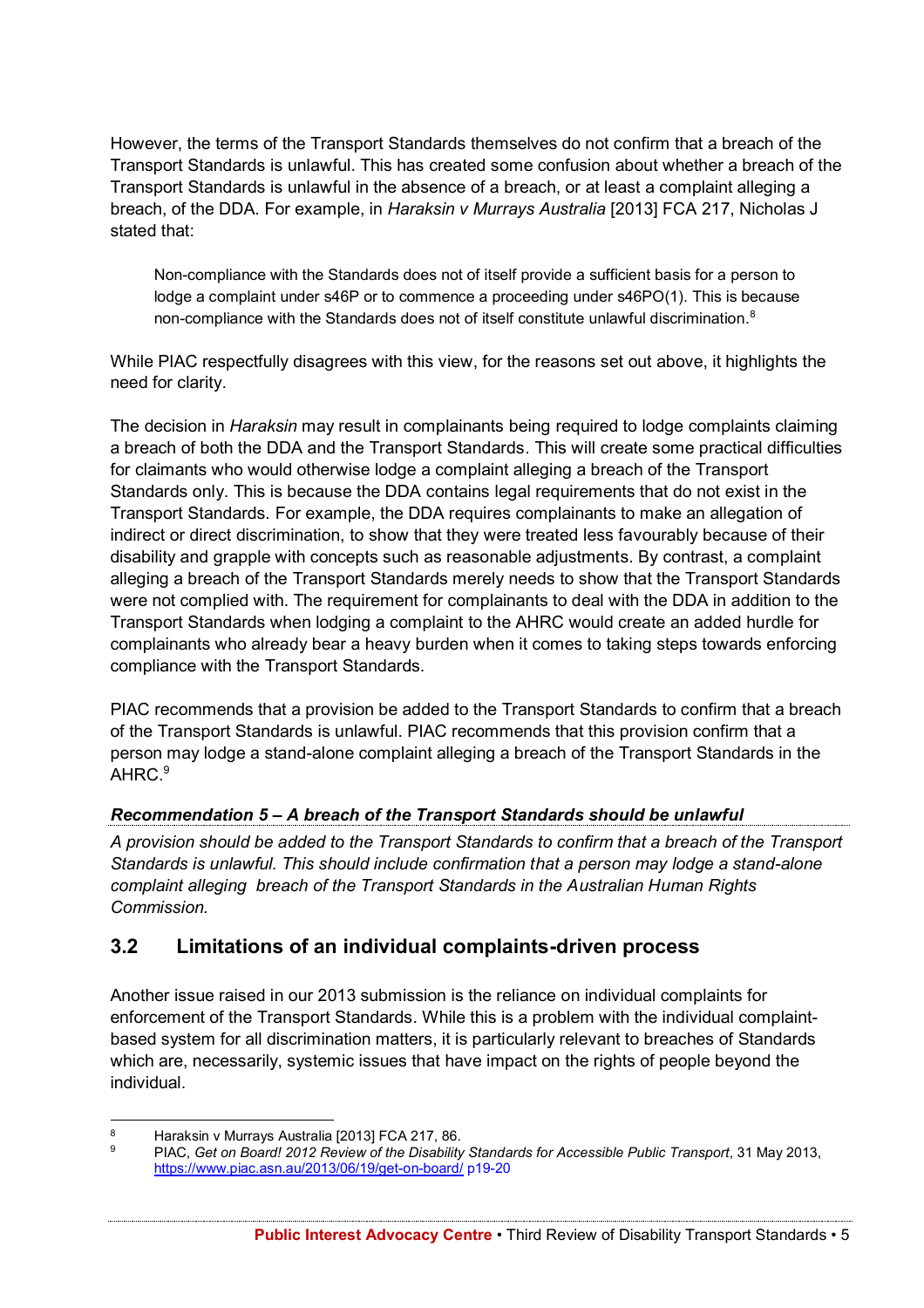However, the terms of the Transport Standards themselves do not confirm that a breach of the Transport Standards is unlawful. This has created some confusion about whether a breach of the Transport Standards is unlawful in the absence of a breach, or at least a complaint alleging a breach, of the DDA. For example, in *Haraksin v Murrays Australia* [2013] FCA 217, Nicholas J stated that:

Non-compliance with the Standards does not of itself provide a sufficient basis for a person to lodge a complaint under s46P or to commence a proceeding under s46PO(1). This is because non-compliance with the Standards does not of itself constitute unlawful discrimination.<sup>8</sup>

While PIAC respectfully disagrees with this view, for the reasons set out above, it highlights the need for clarity.

The decision in *Haraksin* may result in complainants being required to lodge complaints claiming a breach of both the DDA and the Transport Standards. This will create some practical difficulties for claimants who would otherwise lodge a complaint alleging a breach of the Transport Standards only. This is because the DDA contains legal requirements that do not exist in the Transport Standards. For example, the DDA requires complainants to make an allegation of indirect or direct discrimination, to show that they were treated less favourably because of their disability and grapple with concepts such as reasonable adjustments. By contrast, a complaint alleging a breach of the Transport Standards merely needs to show that the Transport Standards were not complied with. The requirement for complainants to deal with the DDA in addition to the Transport Standards when lodging a complaint to the AHRC would create an added hurdle for complainants who already bear a heavy burden when it comes to taking steps towards enforcing compliance with the Transport Standards.

PIAC recommends that a provision be added to the Transport Standards to confirm that a breach of the Transport Standards is unlawful. PIAC recommends that this provision confirm that a person may lodge a stand-alone complaint alleging a breach of the Transport Standards in the AHRC.<sup>9</sup>

# *Recommendation 5 – A breach of the Transport Standards should be unlawful*

*A provision should be added to the Transport Standards to confirm that a breach of the Transport Standards is unlawful. This should include confirmation that a person may lodge a stand-alone complaint alleging breach of the Transport Standards in the Australian Human Rights Commission.*

# **3.2 Limitations of an individual complaints-driven process**

Another issue raised in our 2013 submission is the reliance on individual complaints for enforcement of the Transport Standards. While this is a problem with the individual complaintbased system for all discrimination matters, it is particularly relevant to breaches of Standards which are, necessarily, systemic issues that have impact on the rights of people beyond the individual.

<sup>8</sup> Haraksin v Murrays Australia [2013] FCA 217, 86.<br>9 BLAC, Get on Board 2012 Boylow of the Disphility

<sup>9</sup> PIAC, *Get on Board! 2012 Review of the Disability Standards for Accessible Public Transport*, 31 May 2013, <https://www.piac.asn.au/2013/06/19/get-on-board/> p19-20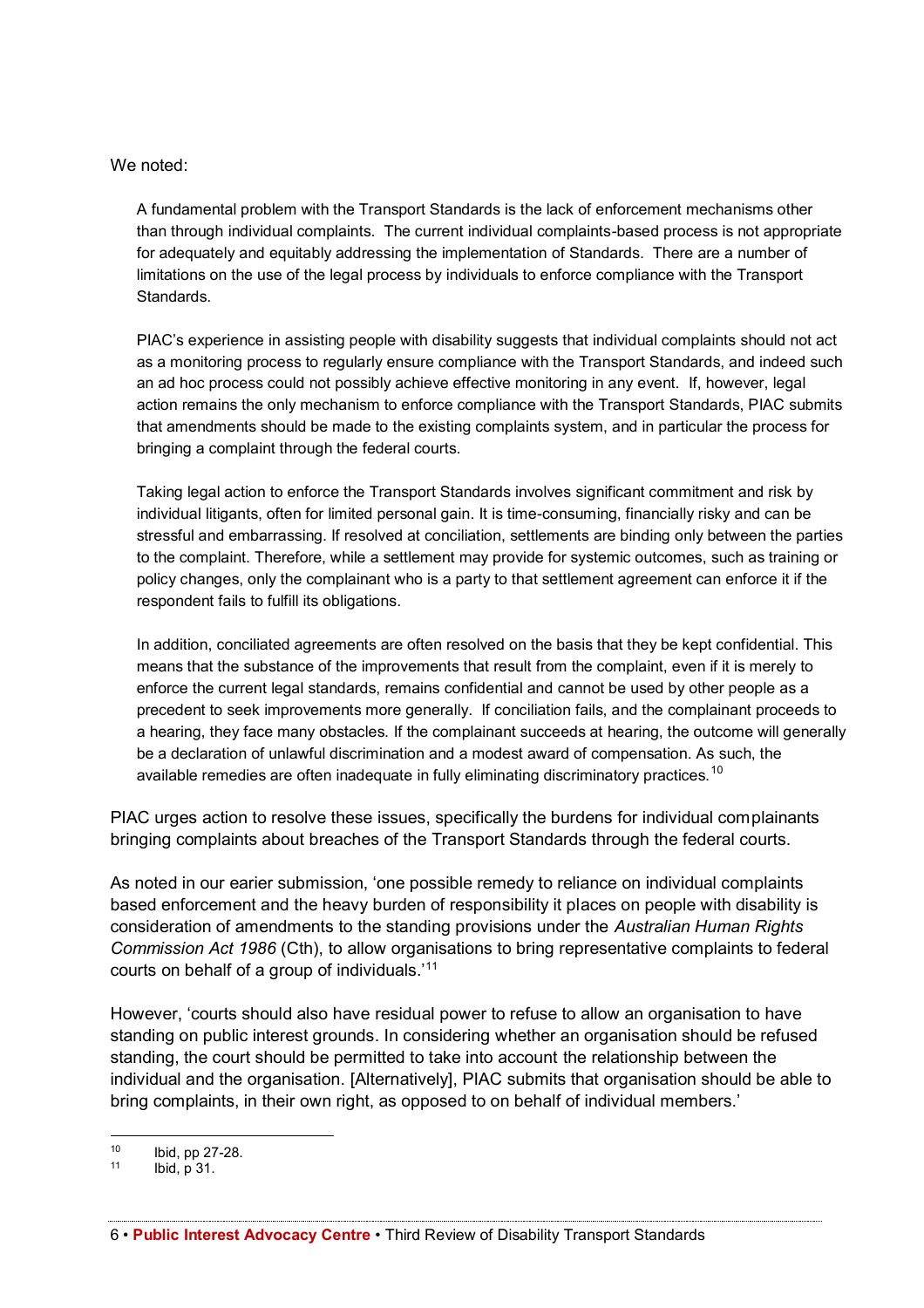We noted:

A fundamental problem with the Transport Standards is the lack of enforcement mechanisms other than through individual complaints. The current individual complaints-based process is not appropriate for adequately and equitably addressing the implementation of Standards. There are a number of limitations on the use of the legal process by individuals to enforce compliance with the Transport Standards.

PIAC's experience in assisting people with disability suggests that individual complaints should not act as a monitoring process to regularly ensure compliance with the Transport Standards, and indeed such an ad hoc process could not possibly achieve effective monitoring in any event. If, however, legal action remains the only mechanism to enforce compliance with the Transport Standards, PIAC submits that amendments should be made to the existing complaints system, and in particular the process for bringing a complaint through the federal courts.

Taking legal action to enforce the Transport Standards involves significant commitment and risk by individual litigants, often for limited personal gain. It is time-consuming, financially risky and can be stressful and embarrassing. If resolved at conciliation, settlements are binding only between the parties to the complaint. Therefore, while a settlement may provide for systemic outcomes, such as training or policy changes, only the complainant who is a party to that settlement agreement can enforce it if the respondent fails to fulfill its obligations.

In addition, conciliated agreements are often resolved on the basis that they be kept confidential. This means that the substance of the improvements that result from the complaint, even if it is merely to enforce the current legal standards, remains confidential and cannot be used by other people as a precedent to seek improvements more generally. If conciliation fails, and the complainant proceeds to a hearing, they face many obstacles. If the complainant succeeds at hearing, the outcome will generally be a declaration of unlawful discrimination and a modest award of compensation. As such, the available remedies are often inadequate in fully eliminating discriminatory practices.<sup>10</sup>

PIAC urges action to resolve these issues, specifically the burdens for individual complainants bringing complaints about breaches of the Transport Standards through the federal courts.

As noted in our earier submission, 'one possible remedy to reliance on individual complaints based enforcement and the heavy burden of responsibility it places on people with disability is consideration of amendments to the standing provisions under the *Australian Human Rights Commission Act 1986* (Cth), to allow organisations to bring representative complaints to federal courts on behalf of a group of individuals.'<sup>11</sup>

However, 'courts should also have residual power to refuse to allow an organisation to have standing on public interest grounds. In considering whether an organisation should be refused standing, the court should be permitted to take into account the relationship between the individual and the organisation. [Alternatively], PIAC submits that organisation should be able to bring complaints, in their own right, as opposed to on behalf of individual members.'

 $10$  Ibid, pp 27-28.<br> $11$  Ibid, p 31

Ibid, p 31.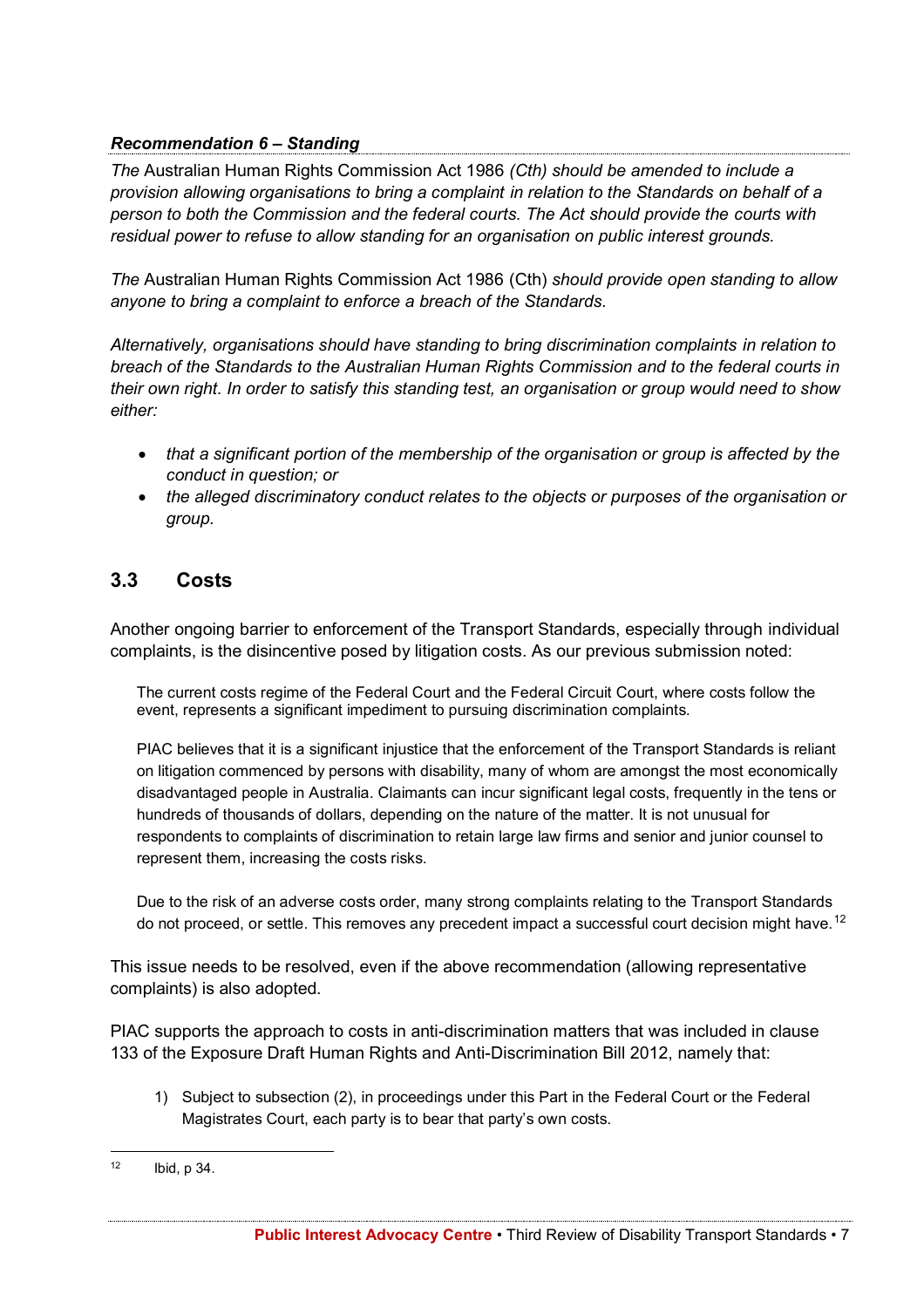## *Recommendation 6 – Standing*

*The* Australian Human Rights Commission Act 1986 *(Cth) should be amended to include a provision allowing organisations to bring a complaint in relation to the Standards on behalf of a person to both the Commission and the federal courts. The Act should provide the courts with residual power to refuse to allow standing for an organisation on public interest grounds.*

*The* Australian Human Rights Commission Act 1986 (Cth) *should provide open standing to allow anyone to bring a complaint to enforce a breach of the Standards.*

*Alternatively, organisations should have standing to bring discrimination complaints in relation to breach of the Standards to the Australian Human Rights Commission and to the federal courts in their own right. In order to satisfy this standing test, an organisation or group would need to show either:*

- *that a significant portion of the membership of the organisation or group is affected by the conduct in question; or*
- *the alleged discriminatory conduct relates to the objects or purposes of the organisation or group.*

# **3.3 Costs**

Another ongoing barrier to enforcement of the Transport Standards, especially through individual complaints, is the disincentive posed by litigation costs. As our previous submission noted:

The current costs regime of the Federal Court and the Federal Circuit Court, where costs follow the event, represents a significant impediment to pursuing discrimination complaints.

PIAC believes that it is a significant injustice that the enforcement of the Transport Standards is reliant on litigation commenced by persons with disability, many of whom are amongst the most economically disadvantaged people in Australia. Claimants can incur significant legal costs, frequently in the tens or hundreds of thousands of dollars, depending on the nature of the matter. It is not unusual for respondents to complaints of discrimination to retain large law firms and senior and junior counsel to represent them, increasing the costs risks.

Due to the risk of an adverse costs order, many strong complaints relating to the Transport Standards do not proceed, or settle. This removes any precedent impact a successful court decision might have.<sup>12</sup>

This issue needs to be resolved, even if the above recommendation (allowing representative complaints) is also adopted.

PIAC supports the approach to costs in anti-discrimination matters that was included in clause 133 of the Exposure Draft Human Rights and Anti-Discrimination Bill 2012, namely that:

1) Subject to subsection (2), in proceedings under this Part in the Federal Court or the Federal Magistrates Court, each party is to bear that party's own costs.

 $12$  Ibid, p 34.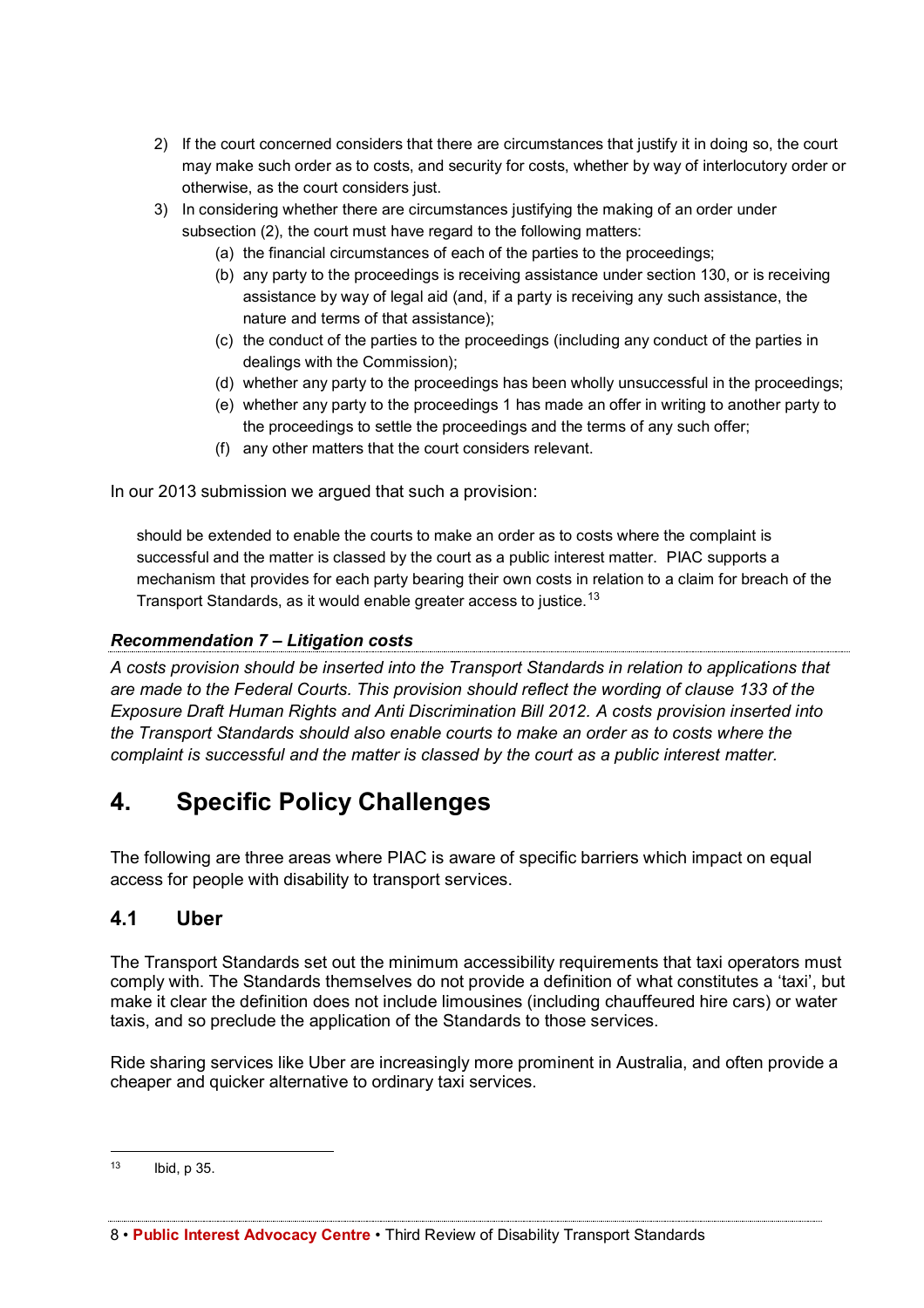- 2) If the court concerned considers that there are circumstances that justify it in doing so, the court may make such order as to costs, and security for costs, whether by way of interlocutory order or otherwise, as the court considers just.
- 3) In considering whether there are circumstances justifying the making of an order under subsection (2), the court must have regard to the following matters:
	- (a) the financial circumstances of each of the parties to the proceedings;
	- (b) any party to the proceedings is receiving assistance under section 130, or is receiving assistance by way of legal aid (and, if a party is receiving any such assistance, the nature and terms of that assistance);
	- (c) the conduct of the parties to the proceedings (including any conduct of the parties in dealings with the Commission);
	- (d) whether any party to the proceedings has been wholly unsuccessful in the proceedings;
	- (e) whether any party to the proceedings 1 has made an offer in writing to another party to the proceedings to settle the proceedings and the terms of any such offer;
	- (f) any other matters that the court considers relevant.

In our 2013 submission we argued that such a provision:

should be extended to enable the courts to make an order as to costs where the complaint is successful and the matter is classed by the court as a public interest matter. PIAC supports a mechanism that provides for each party bearing their own costs in relation to a claim for breach of the Transport Standards, as it would enable greater access to justice.<sup>13</sup>

#### *Recommendation 7 – Litigation costs*

*A costs provision should be inserted into the Transport Standards in relation to applications that are made to the Federal Courts. This provision should reflect the wording of clause 133 of the Exposure Draft Human Rights and Anti Discrimination Bill 2012. A costs provision inserted into the Transport Standards should also enable courts to make an order as to costs where the complaint is successful and the matter is classed by the court as a public interest matter.* 

# **4. Specific Policy Challenges**

The following are three areas where PIAC is aware of specific barriers which impact on equal access for people with disability to transport services.

### **4.1 Uber**

The Transport Standards set out the minimum accessibility requirements that taxi operators must comply with. The Standards themselves do not provide a definition of what constitutes a 'taxi', but make it clear the definition does not include limousines (including chauffeured hire cars) or water taxis, and so preclude the application of the Standards to those services.

Ride sharing services like Uber are increasingly more prominent in Australia, and often provide a cheaper and quicker alternative to ordinary taxi services.

8 • **Public Interest Advocacy Centre** • Third Review of Disability Transport Standards

 <sup>13</sup> Ibid, p 35.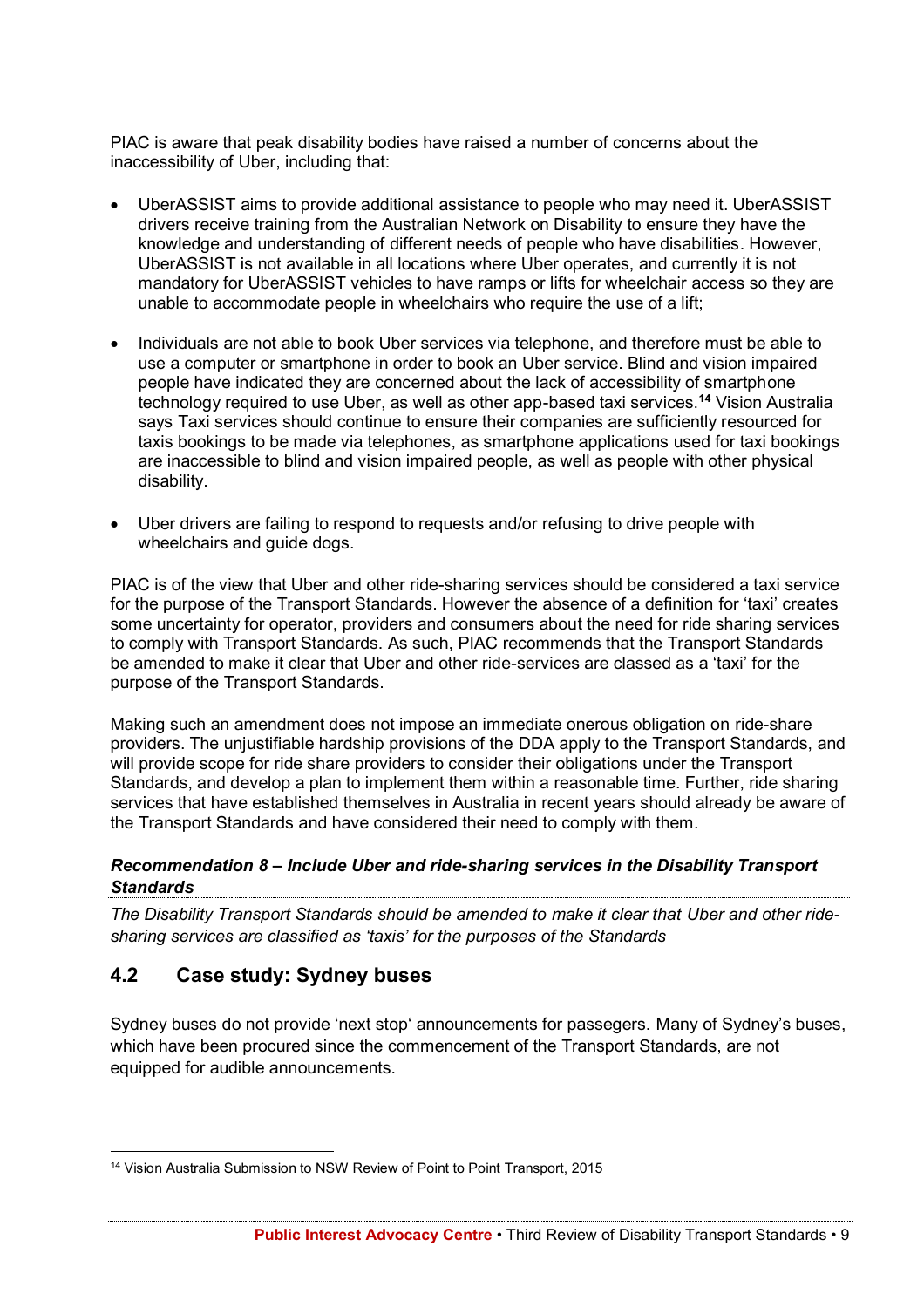PIAC is aware that peak disability bodies have raised a number of concerns about the inaccessibility of Uber, including that:

- UberASSIST aims to provide additional assistance to people who may need it. UberASSIST drivers receive training from the Australian Network on Disability to ensure they have the knowledge and understanding of different needs of people who have disabilities. However, UberASSIST is not available in all locations where Uber operates, and currently it is not mandatory for UberASSIST vehicles to have ramps or lifts for wheelchair access so they are unable to accommodate people in wheelchairs who require the use of a lift;
- Individuals are not able to book Uber services via telephone, and therefore must be able to use a computer or smartphone in order to book an Uber service. Blind and vision impaired people have indicated they are concerned about the lack of accessibility of smartphone technology required to use Uber, as well as other app-based taxi services. **<sup>14</sup>** Vision Australia says Taxi services should continue to ensure their companies are sufficiently resourced for taxis bookings to be made via telephones, as smartphone applications used for taxi bookings are inaccessible to blind and vision impaired people, as well as people with other physical disability.
- Uber drivers are failing to respond to requests and/or refusing to drive people with wheelchairs and quide dogs.

PIAC is of the view that Uber and other ride-sharing services should be considered a taxi service for the purpose of the Transport Standards. However the absence of a definition for 'taxi' creates some uncertainty for operator, providers and consumers about the need for ride sharing services to comply with Transport Standards. As such, PIAC recommends that the Transport Standards be amended to make it clear that Uber and other ride-services are classed as a 'taxi' for the purpose of the Transport Standards.

Making such an amendment does not impose an immediate onerous obligation on ride-share providers. The unjustifiable hardship provisions of the DDA apply to the Transport Standards, and will provide scope for ride share providers to consider their obligations under the Transport Standards, and develop a plan to implement them within a reasonable time. Further, ride sharing services that have established themselves in Australia in recent years should already be aware of the Transport Standards and have considered their need to comply with them.

### *Recommendation 8 – Include Uber and ride-sharing services in the Disability Transport Standards*

*The Disability Transport Standards should be amended to make it clear that Uber and other ridesharing services are classified as 'taxis' for the purposes of the Standards*

# **4.2 Case study: Sydney buses**

Sydney buses do not provide 'next stop' announcements for passegers. Many of Sydney's buses, which have been procured since the commencement of the Transport Standards, are not equipped for audible announcements.

 <sup>14</sup> Vision Australia Submission to NSW Review of Point to Point Transport, 2015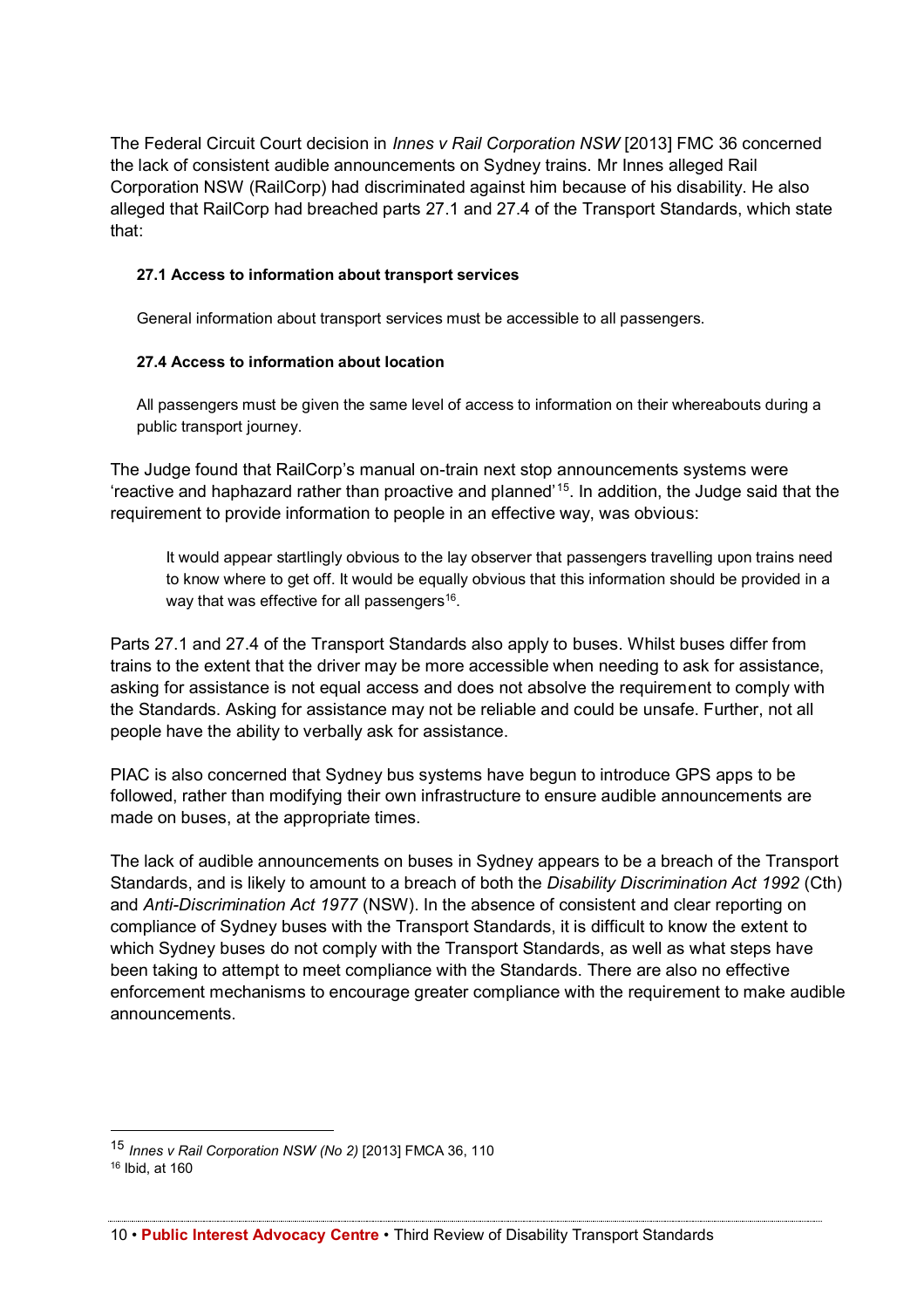The Federal Circuit Court decision in *Innes v Rail Corporation NSW* [2013] FMC 36 concerned the lack of consistent audible announcements on Sydney trains. Mr Innes alleged Rail Corporation NSW (RailCorp) had discriminated against him because of his disability. He also alleged that RailCorp had breached parts 27.1 and 27.4 of the Transport Standards, which state that:

#### **27.1 Access to information about transport services**

General information about transport services must be accessible to all passengers.

#### **27.4 Access to information about location**

All passengers must be given the same level of access to information on their whereabouts during a public transport journey.

The Judge found that RailCorp's manual on-train next stop announcements systems were 'reactive and haphazard rather than proactive and planned'15. In addition, the Judge said that the requirement to provide information to people in an effective way, was obvious:

It would appear startlingly obvious to the lay observer that passengers travelling upon trains need to know where to get off. It would be equally obvious that this information should be provided in a way that was effective for all passengers<sup>16</sup>.

Parts 27.1 and 27.4 of the Transport Standards also apply to buses. Whilst buses differ from trains to the extent that the driver may be more accessible when needing to ask for assistance, asking for assistance is not equal access and does not absolve the requirement to comply with the Standards. Asking for assistance may not be reliable and could be unsafe. Further, not all people have the ability to verbally ask for assistance.

PIAC is also concerned that Sydney bus systems have begun to introduce GPS apps to be followed, rather than modifying their own infrastructure to ensure audible announcements are made on buses, at the appropriate times.

The lack of audible announcements on buses in Sydney appears to be a breach of the Transport Standards, and is likely to amount to a breach of both the *Disability Discrimination Act 1992* (Cth) and *Anti-Discrimination Act 1977* (NSW). In the absence of consistent and clear reporting on compliance of Sydney buses with the Transport Standards, it is difficult to know the extent to which Sydney buses do not comply with the Transport Standards, as well as what steps have been taking to attempt to meet compliance with the Standards. There are also no effective enforcement mechanisms to encourage greater compliance with the requirement to make audible announcements.

 <sup>15</sup> *Innes v Rail Corporation NSW (No 2)* [2013] FMCA 36, 110

<sup>16</sup> Ibid, at 160